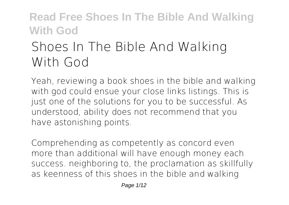# **Shoes In The Bible And Walking With God**

Yeah, reviewing a book **shoes in the bible and walking with god** could ensue your close links listings. This is just one of the solutions for you to be successful. As understood, ability does not recommend that you have astonishing points.

Comprehending as competently as concord even more than additional will have enough money each success. neighboring to, the proclamation as skillfully as keenness of this shoes in the bible and walking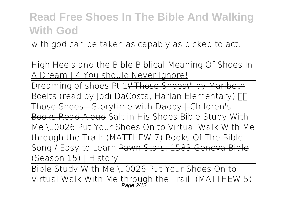with god can be taken as capably as picked to act.

High Heels and the Bible Biblical Meaning Of Shoes In Dream | 4 You should Never Ignore!

Dreaming of shoes Pt.1\"Those Shoes\" by Maribeth Boelts (read by Jodi DaCosta, Harlan Elementary) HT Those Shoes - Storytime with Daddy | Children's Books Read Aloud **Salt in His Shoes Bible Study With Me \u0026 Put Your Shoes On to Virtual Walk With Me through the Trail: (MATTHEW 7)** *Books Of The Bible Song / Easy to Learn* Pawn Stars: 1583 Geneva Bible (Season 15) | History

Bible Study With Me \u0026 Put Your Shoes On to Virtual Walk With Me through the Trail: (MATTHEW 5)<br>Page 2/12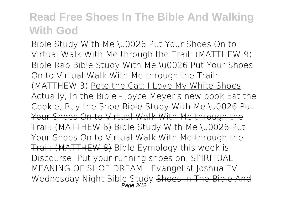Bible Study With Me \u0026 Put Your Shoes On to Virtual Walk With Me through the Trail: (MATTHEW 9) Bible Rap Bible Study With Me \u0026 Put Your Shoes On to Virtual Walk With Me through the Trail: (MATTHEW 3) Pete the Cat: I Love My White Shoes Actually, In the Bible - Joyce Meyer's new book Eat the Cookie, Buy the Shoe Bible Study With Me \u0026 Put Your Shoes On to Virtual Walk With Me through the Trail: (MATTHEW 6) Bible Study With Me \u0026 Put Your Shoes On to Virtual Walk With Me through the Trail: (MATTHEW 8) **Bible Eymology this week is Discourse. Put your running shoes on. SPIRITUAL MEANING OF SHOE DREAM - Evangelist Joshua TV Wednesday Night Bible Study** Shoes In The Bible And Page 3/12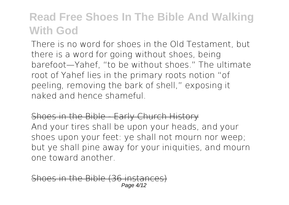There is no word for shoes in the Old Testament, but there is a word for going without shoes, being barefoot—Yahef, "to be without shoes." The ultimate root of Yahef lies in the primary roots notion "of peeling, removing the bark of shell," exposing it naked and hence shameful.

Shoes in the Bible - Early Church History And your tires shall be upon your heads, and your shoes upon your feet: ye shall not mourn nor weep; but ye shall pine away for your iniquities, and mourn one toward another.

s in the Bible (36 inst. Page 4/12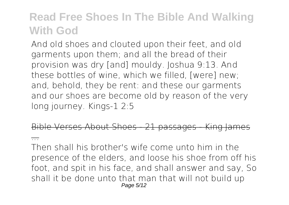And old shoes and clouted upon their feet, and old garments upon them; and all the bread of their provision was dry [and] mouldy. Joshua 9:13. And these bottles of wine, which we filled, [were] new; and, behold, they be rent: and these our garments and our shoes are become old by reason of the very long journey. Kings-1 2:5

Bible Verses About Shoes - 21 passages - King James

...

Then shall his brother's wife come unto him in the presence of the elders, and loose his shoe from off his foot, and spit in his face, and shall answer and say, So shall it be done unto that man that will not build up Page 5/12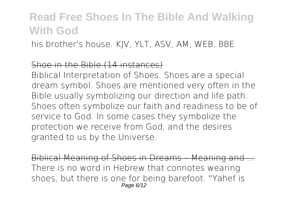his brother's house. KJV, YLT, ASV, AM, WEB, BBE

#### Shoe in the Bible (14 instances)

Biblical Interpretation of Shoes. Shoes are a special dream symbol. Shoes are mentioned very often in the Bible usually symbolizing our direction and life path. Shoes often symbolize our faith and readiness to be of service to God. In some cases they symbolize the protection we receive from God, and the desires granted to us by the Universe.

Biblical Meaning of Shoes in Dreams – Meaning and ... There is no word in Hebrew that connotes wearing shoes, but there is one for being barefoot. "Yahef is Page 6/12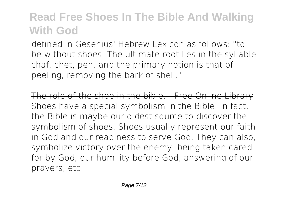defined in Gesenius' Hebrew Lexicon as follows: "to be without shoes. The ultimate root lies in the syllable chaf, chet, peh, and the primary notion is that of peeling, removing the bark of shell."

The role of the shoe in the bible. - Free Online Library Shoes have a special symbolism in the Bible. In fact, the Bible is maybe our oldest source to discover the symbolism of shoes. Shoes usually represent our faith in God and our readiness to serve God. They can also, symbolize victory over the enemy, being taken cared for by God, our humility before God, answering of our prayers, etc.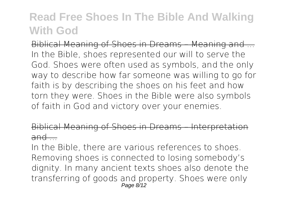Biblical Meaning of Shoes in Dreams – Meaning and ... In the Bible, shoes represented our will to serve the God. Shoes were often used as symbols, and the only way to describe how far someone was willing to go for faith is by describing the shoes on his feet and how torn they were. Shoes in the Bible were also symbols of faith in God and victory over your enemies.

#### Biblical Meaning of Shoes in Dreams – Interpretational  $and$   $-$

In the Bible, there are various references to shoes. Removing shoes is connected to losing somebody's dignity. In many ancient texts shoes also denote the transferring of goods and property. Shoes were only Page 8/12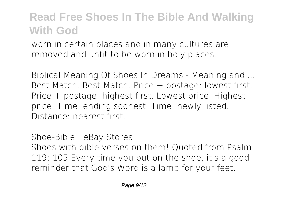worn in certain places and in many cultures are removed and unfit to be worn in holy places.

Biblical Meaning Of Shoes In Dreams - Meaning and ... Best Match. Best Match. Price + postage: lowest first. Price + postage: highest first. Lowest price. Highest price. Time: ending soonest. Time: newly listed. Distance: nearest first.

#### Shoe-Bible | eBay Stores

Shoes with bible verses on them! Quoted from Psalm 119: 105 Every time you put on the shoe, it's a good reminder that God's Word is a lamp for your feet..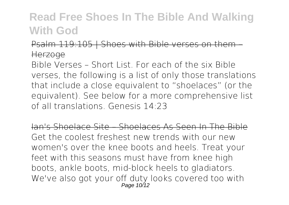Psalm 119:105 | Shoes with Bible verses on them Herzoge

Bible Verses – Short List. For each of the six Bible verses, the following is a list of only those translations that include a close equivalent to "shoelaces" (or the equivalent). See below for a more comprehensive list of all translations. Genesis 14:23

Ian's Shoelace Site – Shoelaces As Seen In The Bible Get the coolest freshest new trends with our new women's over the knee boots and heels. Treat your feet with this seasons must have from knee high boots, ankle boots, mid-block heels to gladiators. We've also got your off duty looks covered too with Page 10/12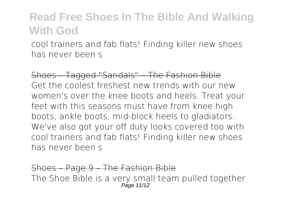cool trainers and fab flats! Finding killer new shoes has never been s

Shoes – Tagged "Sandals" – The Fashion Bible Get the coolest freshest new trends with our new women's over the knee boots and heels. Treat your feet with this seasons must have from knee high boots, ankle boots, mid-block heels to gladiators. We've also got your off duty looks covered too with cool trainers and fab flats! Finding killer new shoes has never been s

Shoes – Page 9 – The Fashion Bible The Shoe Bible is a very small team pulled together Page 11/12